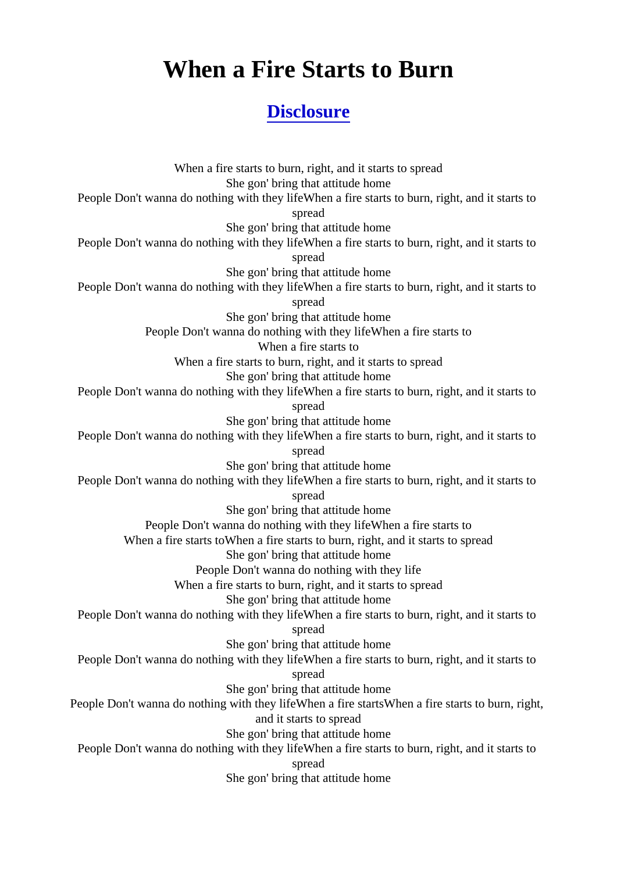## When a Fire Starts to Burn

## **[Disclosure](https://lyricsgroup.com/search.html?q=Disclosure)**

When a fire starts to burn, right, and it starts to spread She gon' bring that attitude home People Don't wanna do nothing with they lifeWhen a fire starts to burn, right, and it starts to spread She gon' bring that attitude home People Don't wanna do nothing with they lifeWhen a fire starts to burn, right, and it starts to spread She gon' bring that attitude home People Don't wanna do nothing with they lifeWhen a fire starts to burn, right, and it starts to spread She gon' bring that attitude home People Don't wanna do nothing with they lifeWhen a fire starts to When a fire starts to When a fire starts to burn, right, and it starts to spread She gon' bring that attitude home People Don't wanna do nothing with they lifeWhen a fire starts to burn, right, and it starts to spread She gon' bring that attitude home People Don't wanna do nothing with they lifeWhen a fire starts to burn, right, and it starts to spread She gon' bring that attitude home People Don't wanna do nothing with they lifeWhen a fire starts to burn, right, and it starts to spread She gon' bring that attitude home People Don't wanna do nothing with they lifeWhen a fire starts to When a fire starts toWhen a fire starts to burn, right, and it starts to spread She gon' bring that attitude home People Don't wanna do nothing with they life When a fire starts to burn, right, and it starts to spread She gon' bring that attitude home People Don't wanna do nothing with they lifeWhen a fire starts to burn, right, and it starts to spread She gon' bring that attitude home People Don't wanna do nothing with they lifeWhen a fire starts to burn, right, and it starts to spread She gon' bring that attitude home People Don't wanna do nothing with they lifeWhen a fire startsWhen a fire starts to burn, right, and it starts to spread She gon' bring that attitude home People Don't wanna do nothing with they lifeWhen a fire starts to burn, right, and it starts to spread She gon' bring that attitude home